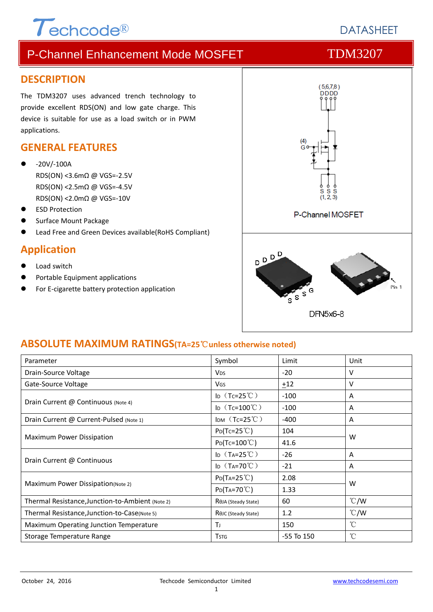# $\tau$ echcode®

## P-Channel Enhancement Mode MOSFET TDM3207

### **DESCRIPTION**

The TDM3207 uses advanced trench technology to provide excellent RDS(ON) and low gate charge. This device is suitable for use as a load switch or in PWM applications.

### **GENERAL FEATURES**

- ‐20V/‐100A RDS(ON) <3.6mΩ @ VGS=‐2.5V RDS(ON) <2.5mΩ @ VGS=‐4.5V RDS(ON) <2.0mΩ @ VGS=‐10V
- ESD Protection
- Surface Mount Package
- Lead Free and Green Devices available(RoHS Compliant)

### **Application**

- Load switch
- Portable Equipment applications
- For E-cigarette battery protection application



### **ABSOLUTE MAXIMUM RATINGS(TA=25**℃**unless otherwise noted)**

| Parameter                                        | Symbol                            | Limit          | Unit            |  |
|--------------------------------------------------|-----------------------------------|----------------|-----------------|--|
| Drain-Source Voltage                             | <b>V<sub>DS</sub></b>             | -20            | v               |  |
| Gate-Source Voltage                              | VGS                               | ±12            | v               |  |
| Drain Current @ Continuous (Note 4)              | I <sub>D</sub> $(Tc=25^{\circ}C)$ | $-100$         | A               |  |
|                                                  | ID $(Tc=100^{\circ}C)$            | $-100$         | A               |  |
| Drain Current @ Current-Pulsed (Note 1)          | IDM $(Tc=25^{\circ}C)$            | $-400$         | A               |  |
| Maximum Power Dissipation                        | $P_{D}(Tc=25^{\circ}C)$           | 104            | W               |  |
|                                                  | $P_{D}(Tc=100^{\circ}C)$          | 41.6           |                 |  |
| Drain Current @ Continuous                       | ID $(T_A=25^{\circ}C)$            | $-26$          | A               |  |
|                                                  | ID $(T_A=70^{\circ}C)$            | $-21$          | A               |  |
| Maximum Power Dissipation(Note 2)                | $P_{D}(T_{A}=25^{\circ}C)$        | 2.08           | W               |  |
|                                                  | $P_{D}(Ta=70^{\circ}C)$           | 1.33           |                 |  |
| Thermal Resistance, Junction-to-Ambient (Note 2) | R <sub>OJ</sub> A (Steady State)  | 60             | $\degree$ C/W   |  |
| Thermal Resistance, Junction-to-Case(Note 5)     | R <sub>OJ</sub> C (Steady State)  | 1.2            | $\degree$ C/W   |  |
| Maximum Operating Junction Temperature           | ТJ                                | 150            | $^{\circ}$ C    |  |
| Storage Temperature Range                        | <b>T</b> <sub>STG</sub>           | $-55$ To $150$ | $\rm ^{\circ}C$ |  |

## **DATASHEET**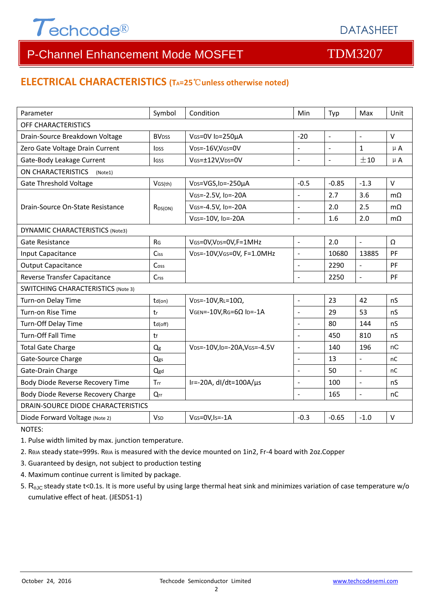

#### **ELECTRICAL CHARACTERISTICS (TA=25**℃**unless otherwise noted)**

| Parameter                                 | Symbol                   | Condition                          | Min                      | Typ                 | Max                      | Unit         |  |  |
|-------------------------------------------|--------------------------|------------------------------------|--------------------------|---------------------|--------------------------|--------------|--|--|
| OFF CHARACTERISTICS                       |                          |                                    |                          |                     |                          |              |  |  |
| Drain-Source Breakdown Voltage            | <b>BV</b> <sub>DSS</sub> | VGS=0V ID=250µA                    | $-20$                    | $\bar{\phantom{a}}$ | $\blacksquare$           | $\vee$       |  |  |
| Zero Gate Voltage Drain Current           | <b>IDSS</b>              | VDS=-16V,VGS=0V                    | $\overline{a}$           | $\blacksquare$      | $\mathbf{1}$             | $\mu$ A      |  |  |
| Gate-Body Leakage Current                 | <b>IGSS</b>              | VGS=±12V,VDS=0V                    | $\overline{a}$           | $\overline{a}$      | ±10                      | $\mu$ A      |  |  |
| ON CHARACTERISTICS<br>(Note1)             |                          |                                    |                          |                     |                          |              |  |  |
| <b>Gate Threshold Voltage</b>             | VGS(th)                  | VDS=VGS, ID=-250µA                 | $-0.5$                   | $-0.85$             | $-1.3$                   | V            |  |  |
| Drain-Source On-State Resistance          | $R_{DS(ON)}$             | VGS=-2.5V, ID=-20A                 |                          | 2.7                 | 3.6                      | $m\Omega$    |  |  |
|                                           |                          | VGS=-4.5V, ID=-20A                 | $\sim$                   | 2.0                 | 2.5                      | $m\Omega$    |  |  |
|                                           |                          | VGS=-10V, ID=-20A                  | $\sim$                   | 1.6                 | 2.0                      | $m\Omega$    |  |  |
| <b>DYNAMIC CHARACTERISTICS (Note3)</b>    |                          |                                    |                          |                     |                          |              |  |  |
| <b>Gate Resistance</b>                    | RG                       | VGS=0V, VDS=0V, F=1MHz             | $\overline{a}$           | 2.0                 | $\overline{\phantom{a}}$ | Ω            |  |  |
| Input Capacitance                         | <b>Ciss</b>              | VDS=-10V, VGS=0V, F=1.0MHz         | $\overline{\phantom{a}}$ | 10680               | 13885                    | PF           |  |  |
| <b>Output Capacitance</b>                 | Coss                     |                                    | $\mathbf{r}$             | 2290                | $\overline{a}$           | PF           |  |  |
| Reverse Transfer Capacitance              | Crss                     |                                    | $\bar{\mathcal{L}}$      | 2250                | $\bar{\phantom{a}}$      | PF           |  |  |
| <b>SWITCHING CHARACTERISTICS (Note 3)</b> |                          |                                    |                          |                     |                          |              |  |  |
| Turn-on Delay Time                        | $td($ on $)$             | $VDS = -10V, RL = 10\Omega,$       | $\overline{\phantom{a}}$ | 23                  | 42                       | nS           |  |  |
| Turn-on Rise Time                         | tr                       | $V$ GEN=-10V, RG=6 $\Omega$ ID=-1A | $\overline{\phantom{a}}$ | 29                  | 53                       | nS           |  |  |
| Turn-Off Delay Time                       | td(off)                  |                                    | $\sim$                   | 80                  | 144                      | nS           |  |  |
| Turn-Off Fall Time                        | tf                       |                                    | L.                       | 450                 | 810                      | nS           |  |  |
| <b>Total Gate Charge</b>                  | Qg                       | VDS=-10V,ID=-20A,VGS=-4.5V         | $\sim$                   | 140                 | 196                      | nC           |  |  |
| Gate-Source Charge                        | Qgs                      |                                    | $\sim$                   | 13                  | $\blacksquare$           | nC           |  |  |
| Gate-Drain Charge                         | Qgd                      |                                    | $\blacksquare$           | 50                  | $\blacksquare$           | nC           |  |  |
| Body Diode Reverse Recovery Time          | Trr                      | IF=-20A, dI/dt=100A/µs             | $\sim$                   | 100                 | $\blacksquare$           | nS           |  |  |
| Body Diode Reverse Recovery Charge        | Qrr                      |                                    | $\overline{\phantom{a}}$ | 165                 | $\bar{\phantom{a}}$      | nC           |  |  |
| DRAIN-SOURCE DIODE CHARACTERISTICS        |                          |                                    |                          |                     |                          |              |  |  |
| Diode Forward Voltage (Note 2)            | <b>V</b> sp              | VGS=0V, Is = - 1A                  | $-0.3$                   | $-0.65$             | $-1.0$                   | $\mathsf{V}$ |  |  |

NOTES:

1. Pulse width limited by max. junction temperature.

2. RθJA steady state=999s. RθJA is measured with the device mounted on 1in2, Fr‐4 board with 2oz.Copper

3. Guaranteed by design, not subject to production testing

- 4. Maximum continue current is limited by package.
- 5.  $R_{\theta JC}$  steady state t<0.1s. It is more useful by using large thermal heat sink and minimizes variation of case temperature w/o cumulative effect of heat. (JESD51‐1)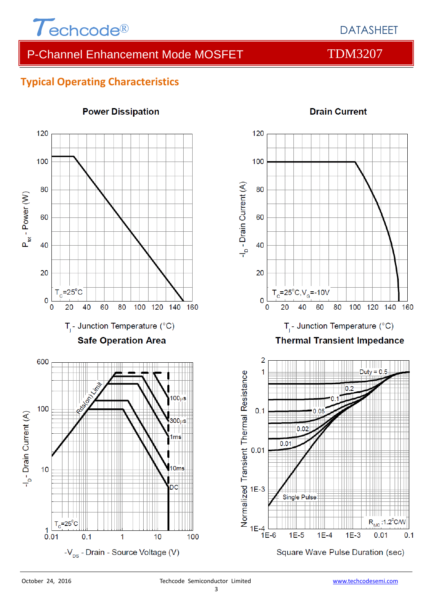

**Drain Current** 

### **Typical Operating Characteristics**



#### **Power Dissipation**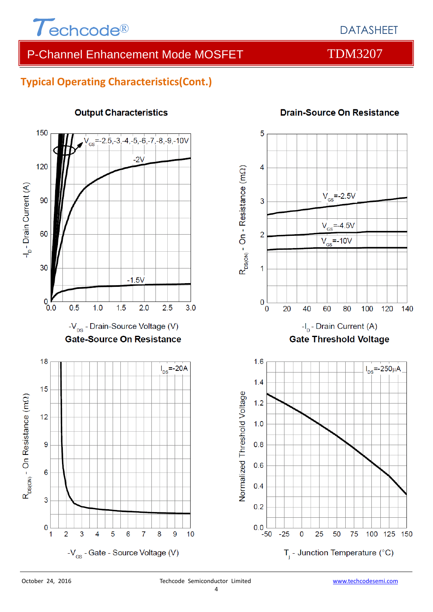

## **Typical Operating Characteristics(Cont.)**



#### **Output Characteristics**



**Drain-Source On Resistance** 

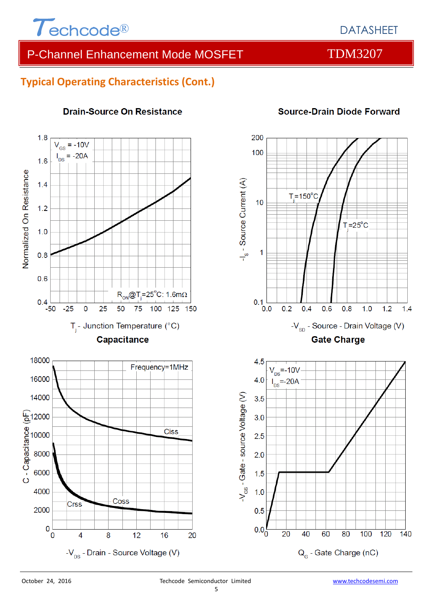

### **Typical Operating Characteristics (Cont.)**



#### **Drain-Source On Resistance**

#### **Source-Drain Diode Forward**

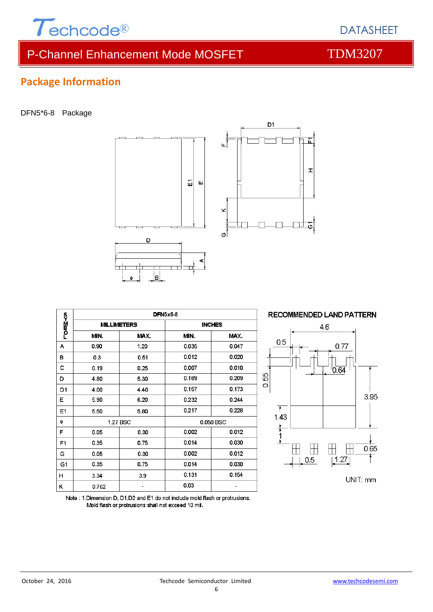

## **Package Information**

DFN5\*6-8 Package



|                | <b>DFN5x6-8</b>    |      |           |               |  |  |
|----------------|--------------------|------|-----------|---------------|--|--|
| romM≺o         | <b>MILLIMETERS</b> |      |           | <b>INCHES</b> |  |  |
|                | MIN.               | MAX. | MIN.      | MAX.          |  |  |
| А              | 0.90               | 1.20 | 0.035     | 0.047         |  |  |
| в              | 0.3                | 0.51 | 0.012     | 0.020         |  |  |
| с              | 0.19               | 0.25 | 0.007     | 0.010         |  |  |
| D              | 4.80               | 5.30 | 0.189     | 0.209         |  |  |
| D <sub>1</sub> | 4.00               | 4.40 | 0.157     | 0.173         |  |  |
| E              | 5.90               | 6.20 | 0.232     | 0.244         |  |  |
| E1             | 5.50               | 5.80 | 0.217     | 0.228         |  |  |
| е              | 1.27 BSC           |      | 0.050 BSC |               |  |  |
| F              | 0.05               | 0.30 | 0.002     | 0.012         |  |  |
| F <sub>1</sub> | 0.35               | 0.75 | 0.014     | 0.030         |  |  |
| G              | 0.05               | 0.30 | 0.002     | 0.012         |  |  |
| G1             | 0.35               | 0.75 | 0.014     | 0.030         |  |  |
| н              | 3.34               | 3.9  | 0.131     | 0.154         |  |  |
| κ              | 0.762              |      | 0.03      |               |  |  |



됴

 $\mathbf{r}$ 

Note: 1.Dimension D, D1,D2 and E1 do not include mold flash or protrusions. Mold flash or protrusions shall not exceed 10 mil.